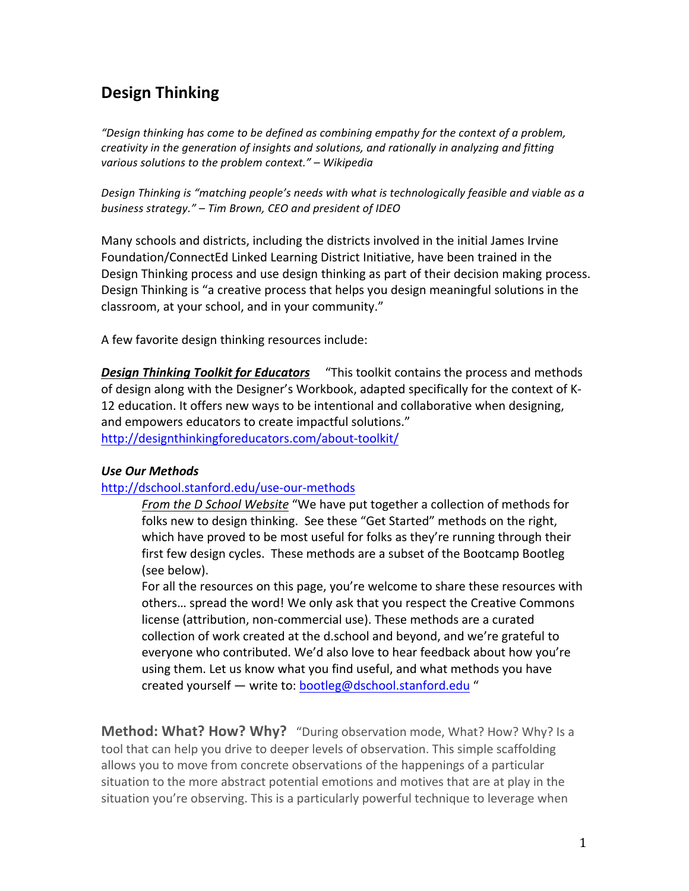# **Design'Thinking**

"Design thinking has come to be defined as combining empathy for the context of a problem, creativity in the generation of insights and solutions, and rationally in analyzing and fitting *various solutions to the problem context." – Wikipedia* 

Design Thinking is "matching people's needs with what is technologically feasible and viable as a *business strategy."* – Tim Brown, CEO and president of IDEO

Many schools and districts, including the districts involved in the initial James Irvine Foundation/ConnectEd Linked Learning District Initiative, have been trained in the Design Thinking process and use design thinking as part of their decision making process. Design Thinking is "a creative process that helps you design meaningful solutions in the classroom, at your school, and in your community."

A few favorite design thinking resources include:

**Design Thinking Toolkit for Educators** "This toolkit contains the process and methods of design along with the Designer's Workbook, adapted specifically for the context of K-12 education. It offers new ways to be intentional and collaborative when designing, and empowers educators to create impactful solutions."

http://designthinkingforeducators.com/about-toolkit/

## *Use'Our'Methods*

## http://dschool.stanford.edu/use-our-methods

From the D School Website "We have put together a collection of methods for folks new to design thinking. See these "Get Started" methods on the right, which have proved to be most useful for folks as they're running through their first few design cycles. These methods are a subset of the Bootcamp Bootleg (see below).

For all the resources on this page, you're welcome to share these resources with others... spread the word! We only ask that you respect the Creative Commons license (attribution, non-commercial use). These methods are a curated collection of work created at the d.school and beyond, and we're grateful to everyone who contributed. We'd also love to hear feedback about how you're using them. Let us know what you find useful, and what methods you have created yourself — write to: bootleg@dschool.stanford.edu "

**Method: What? How? Why?** "During observation mode, What? How? Why? Is a tool that can help you drive to deeper levels of observation. This simple scaffolding allows you to move from concrete observations of the happenings of a particular situation to the more abstract potential emotions and motives that are at play in the situation you're observing. This is a particularly powerful technique to leverage when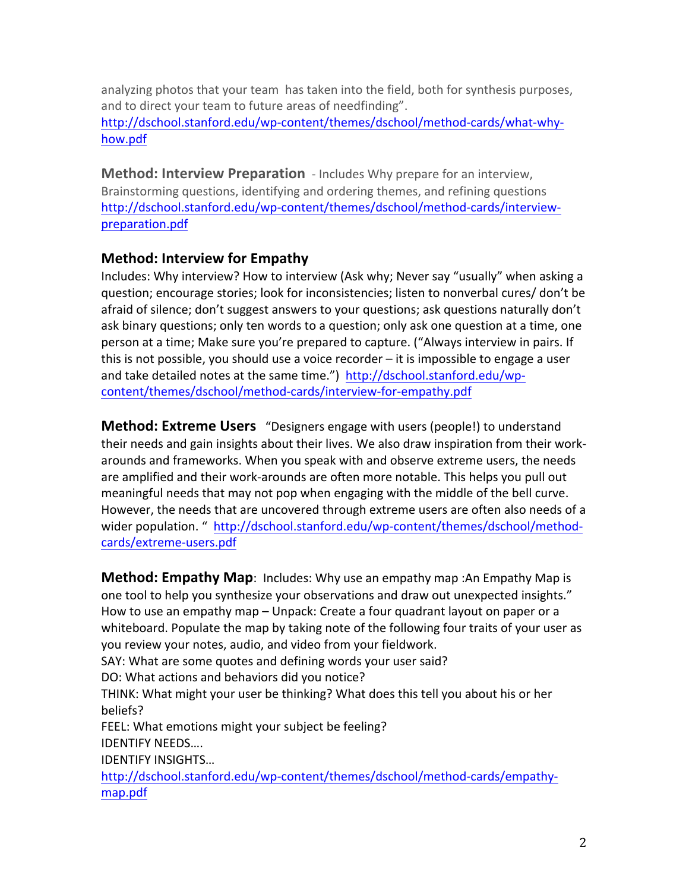analyzing photos that your team has taken into the field, both for synthesis purposes, and to direct your team to future areas of needfinding". http://dschool.stanford.edu/wp-content/themes/dschool/method-cards/what-whyhow.pdf

**Method: Interview Preparation** - Includes Why prepare for an interview, Brainstorming questions, identifying and ordering themes, and refining questions http://dschool.stanford.edu/wp-content/themes/dschool/method-cards/interviewpreparation.pdf

# **Method: Interview for Empathy**

Includes: Why interview? How to interview (Ask why; Never say "usually" when asking a question; encourage stories; look for inconsistencies; listen to nonverbal cures/ don't be afraid of silence; don't suggest answers to your questions; ask questions naturally don't ask binary questions; only ten words to a question; only ask one question at a time, one person at a time; Make sure you're prepared to capture. ("Always interview in pairs. If this is not possible, you should use a voice recorder  $-$  it is impossible to engage a user and take detailed notes at the same time.") http://dschool.stanford.edu/wpcontent/themes/dschool/method-cards/interview-for-empathy.pdf

**Method: Extreme Users** "Designers engage with users (people!) to understand their needs and gain insights about their lives. We also draw inspiration from their workarounds and frameworks. When you speak with and observe extreme users, the needs are amplified and their work-arounds are often more notable. This helps you pull out meaningful needs that may not pop when engaging with the middle of the bell curve. However, the needs that are uncovered through extreme users are often also needs of a wider population. " http://dschool.stanford.edu/wp-content/themes/dschool/methodcards/extreme-users.pdf

**Method: Empathy Map**: Includes: Why use an empathy map : An Empathy Map is one tool to help you synthesize your observations and draw out unexpected insights." How to use an empathy map – Unpack: Create a four quadrant layout on paper or a whiteboard. Populate the map by taking note of the following four traits of your user as you review your notes, audio, and video from your fieldwork. SAY: What are some quotes and defining words your user said? DO: What actions and behaviors did you notice? THINK: What might your user be thinking? What does this tell you about his or her beliefs? FEEL: What emotions might your subject be feeling? IDENTIFY!NEEDS…. IDENTIFY INSIGHTS... http://dschool.stanford.edu/wp-content/themes/dschool/method-cards/empathymap.pdf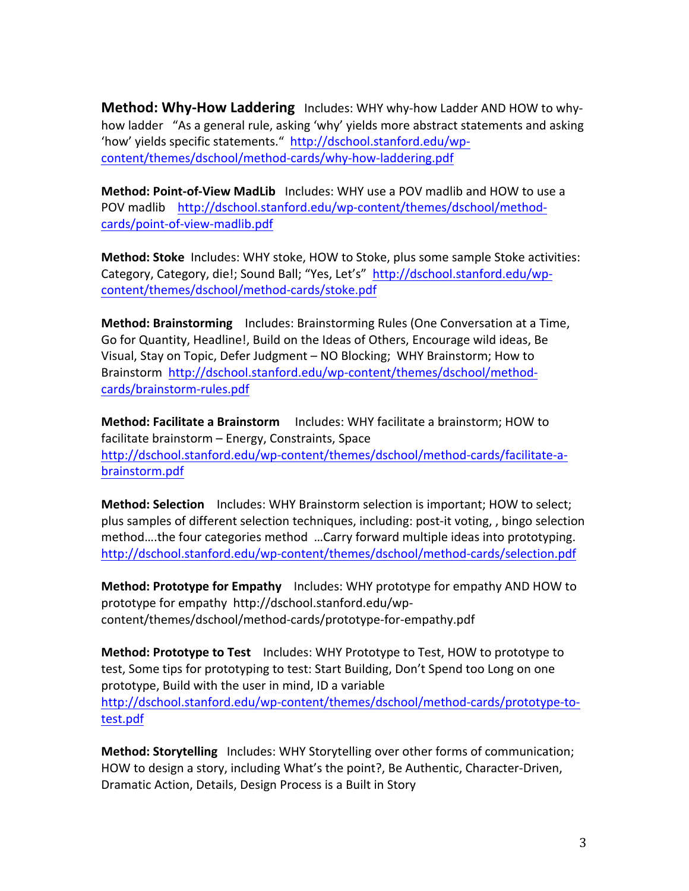**Method: Why-How Laddering** Includes: WHY why-how Ladder AND HOW to whyhow ladder "As a general rule, asking 'why' yields more abstract statements and asking 'how' yields specific statements." http://dschool.stanford.edu/wpcontent/themes/dschool/method-cards/why-how-laddering.pdf

**Method: Point-of-View MadLib** Includes: WHY use a POV madlib and HOW to use a POV madlib http://dschool.stanford.edu/wp-content/themes/dschool/methodcards/point-of-view-madlib.pdf

**Method: Stoke** Includes: WHY stoke, HOW to Stoke, plus some sample Stoke activities: Category, Category, die!; Sound Ball; "Yes, Let's" http://dschool.stanford.edu/wpcontent/themes/dschool/method-cards/stoke.pdf

**Method: Brainstorming** Includes: Brainstorming Rules (One Conversation at a Time, Go for Quantity, Headline!, Build on the Ideas of Others, Encourage wild ideas, Be Visual, Stay on Topic, Defer Judgment – NO Blocking; WHY Brainstorm; How to Brainstorm http://dschool.stanford.edu/wp-content/themes/dschool/methodcards/brainstorm-rules.pdf

**Method:'Facilitate'a'Brainstorm**!!!!!Includes:!WHY!facilitate!a!brainstorm;!HOW!to! facilitate brainstorm – Energy, Constraints, Space http://dschool.stanford.edu/wp-content/themes/dschool/method-cards/facilitate-abrainstorm.pdf

**Method: Selection** Includes: WHY Brainstorm selection is important; HOW to select; plus samples of different selection techniques, including: post-it voting, , bingo selection method....the four categories method ...Carry forward multiple ideas into prototyping. http://dschool.stanford.edu/wp-content/themes/dschool/method-cards/selection.pdf

**Method: Prototype for Empathy** Includes: WHY prototype for empathy AND HOW to prototype for empathy http://dschool.stanford.edu/wpcontent/themes/dschool/method-cards/prototype-for-empathy.pdf

**Method: Prototype to Test** Includes: WHY Prototype to Test, HOW to prototype to test, Some tips for prototyping to test: Start Building, Don't Spend too Long on one prototype, Build with the user in mind, ID a variable http://dschool.stanford.edu/wp-content/themes/dschool/method-cards/prototype-totest.pdf

**Method: Storytelling** Includes: WHY Storytelling over other forms of communication; HOW to design a story, including What's the point?, Be Authentic, Character-Driven, Dramatic Action, Details, Design Process is a Built in Story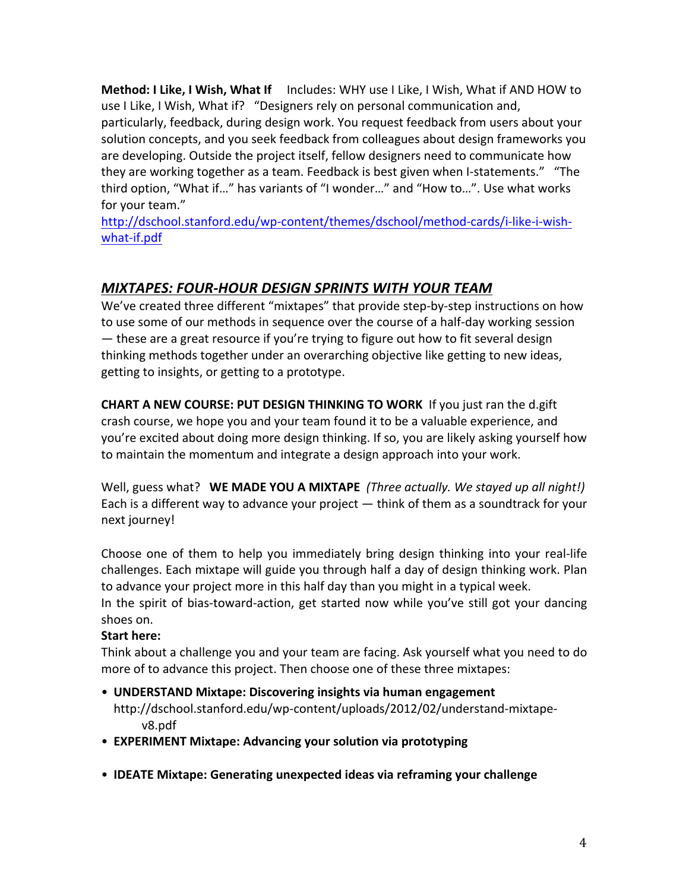**Method: I Like, I Wish, What If** Includes: WHY use I Like, I Wish, What if AND HOW to use I Like, I Wish, What if? "Designers rely on personal communication and, particularly, feedback, during design work. You request feedback from users about your solution concepts, and you seek feedback from colleagues about design frameworks you are developing. Outside the project itself, fellow designers need to communicate how they are working together as a team. Feedback is best given when I-statements." "The third option, "What if..." has variants of "I wonder..." and "How to...". Use what works for your team."

http://dschool.stanford.edu/wp-content/themes/dschool/method-cards/i-like-i-wishwhat-if.pdf

# *MIXTAPES:'FOUR@HOUR'DESIGN'SPRINTS'WITH'YOUR'TEAM'*

We've created three different "mixtapes" that provide step-by-step instructions on how to use some of our methods in sequence over the course of a half-day working session — these are a great resource if you're trying to figure out how to fit several design thinking methods together under an overarching objective like getting to new ideas, getting to insights, or getting to a prototype.

**CHART A NEW COURSE: PUT DESIGN THINKING TO WORK** If you just ran the d.gift crash course, we hope you and your team found it to be a valuable experience, and you're excited about doing more design thinking. If so, you are likely asking yourself how to maintain the momentum and integrate a design approach into your work.

Well, guess what? WE MADE YOU A MIXTAPE (Three actually. We stayed up all night!) Each is a different way to advance your project  $-$  think of them as a soundtrack for your next journey!

Choose one of them to help you immediately bring design thinking into your real-life challenges. Each mixtape will guide you through half a day of design thinking work. Plan to advance your project more in this half day than you might in a typical week. In the spirit of bias-toward-action, get started now while you've still got your dancing

shoes on.

## Start here:

Think about a challenge you and your team are facing. Ask yourself what you need to do more of to advance this project. Then choose one of these three mixtapes:

- **UNDERSTAND Mixtape: Discovering insights via human engagement** http://dschool.stanford.edu/wp-content/uploads/2012/02/understand-mixtapev8.pdf
- **EXPERIMENT Mixtape: Advancing your solution via prototyping**
- **IDEATE Mixtape: Generating unexpected ideas via reframing your challenge**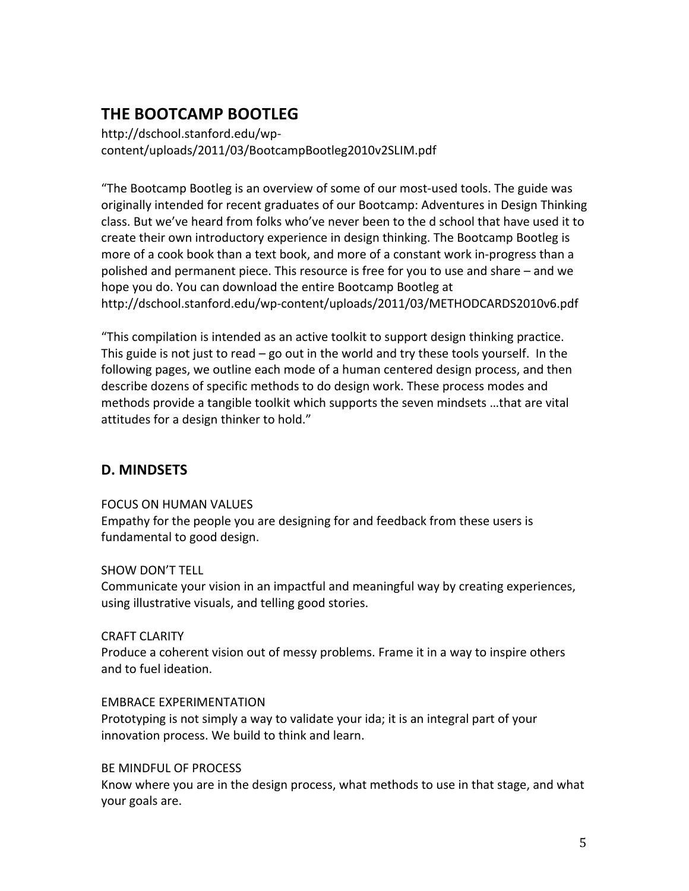# **THE'BOOTCAMP'BOOTLEG''**

http://dschool.stanford.edu/wpcontent/uploads/2011/03/BootcampBootleg2010v2SLIM.pdf

"The Bootcamp Bootleg is an overview of some of our most-used tools. The guide was originally intended for recent graduates of our Bootcamp: Adventures in Design Thinking class. But we've heard from folks who've never been to the d school that have used it to create their own introductory experience in design thinking. The Bootcamp Bootleg is more of a cook book than a text book, and more of a constant work in-progress than a polished and permanent piece. This resource is free for you to use and share – and we hope you do. You can download the entire Bootcamp Bootleg at http://dschool.stanford.edu/wp-content/uploads/2011/03/METHODCARDS2010v6.pdf

"This compilation is intended as an active toolkit to support design thinking practice. This guide is not just to read – go out in the world and try these tools yourself. In the following pages, we outline each mode of a human centered design process, and then describe dozens of specific methods to do design work. These process modes and methods provide a tangible toolkit which supports the seven mindsets ...that are vital attitudes for a design thinker to hold."

# **D.'MINDSETS'**

## FOCUS ON HUMAN VALUES

Empathy for the people you are designing for and feedback from these users is fundamental to good design.

## SHOW DON'T TELL

Communicate your vision in an impactful and meaningful way by creating experiences, using illustrative visuals, and telling good stories.

## **CRAFT CLARITY**

Produce a coherent vision out of messy problems. Frame it in a way to inspire others and to fuel ideation.

## **EMBRACE EXPERIMENTATION**

Prototyping is not simply a way to validate your ida; it is an integral part of your innovation process. We build to think and learn.

## BE MINDFUL OF PROCESS

Know where you are in the design process, what methods to use in that stage, and what your goals are.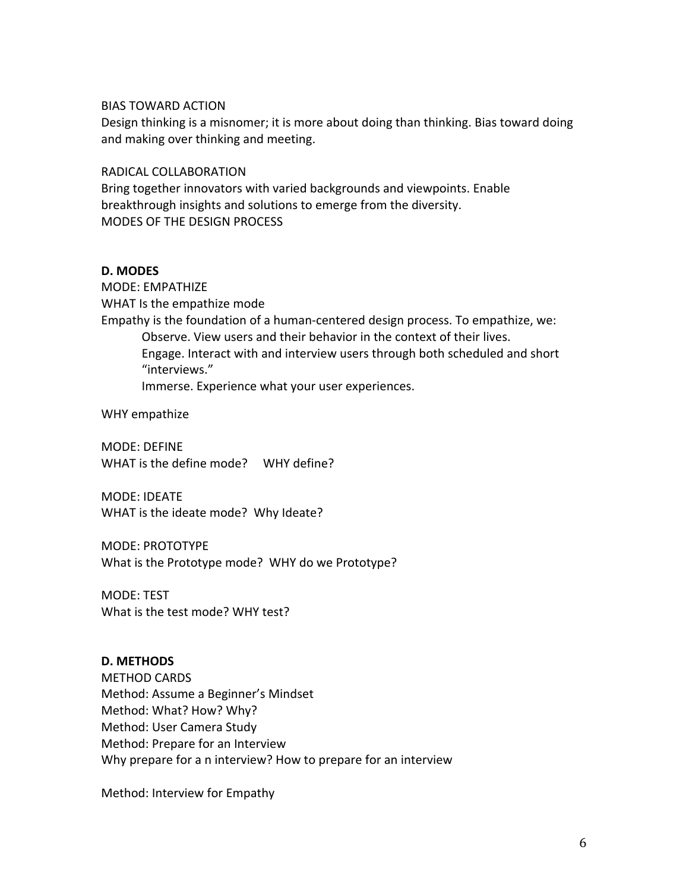#### **BIAS TOWARD ACTION**

Design thinking is a misnomer; it is more about doing than thinking. Bias toward doing and making over thinking and meeting.

RADICAL!COLLABORATION

Bring together innovators with varied backgrounds and viewpoints. Enable breakthrough insights and solutions to emerge from the diversity. MODES OF THE DESIGN PROCESS

#### **D.'MODES'**

MODE: EMPATHIZE WHAT Is the empathize mode Empathy is the foundation of a human-centered design process. To empathize, we: Observe. View users and their behavior in the context of their lives. Engage. Interact with and interview users through both scheduled and short "interviews." Immerse. Experience what your user experiences.

WHY empathize

MODE: DEFINE WHAT is the define mode? WHY define?

MODE: IDEATE WHAT is the ideate mode? Why Ideate?

MODE: PROTOTYPE What is the Prototype mode? WHY do we Prototype?

MODE: TEST What is the test mode? WHY test?

#### **D.'METHODS**

METHOD CARDS Method: Assume a Beginner's Mindset Method: What? How? Why? Method: User Camera Study Method: Prepare for an Interview Why prepare for a n interview? How to prepare for an interview

Method: Interview for Empathy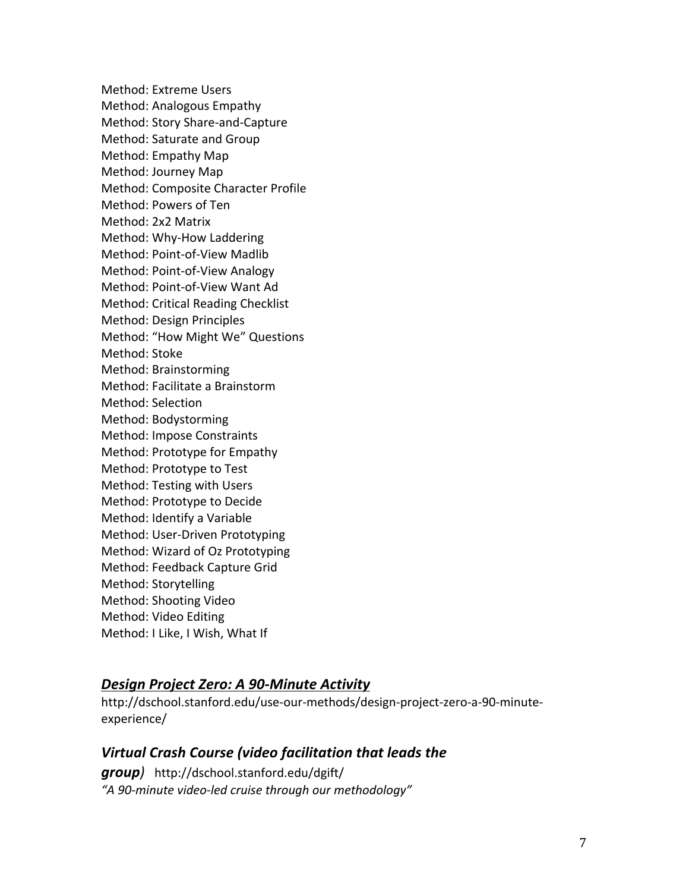Method: Extreme Users Method: Analogous Empathy Method: Story Share-and-Capture Method: Saturate and Group Method: Empathy Map Method: Journey Map Method: Composite Character Profile Method: Powers of Ten Method: 2x2 Matrix Method: Why-How Laddering Method: Point-of-View Madlib Method: Point-of-View Analogy Method: Point-of-View Want Ad Method: Critical Reading Checklist Method: Design Principles Method: "How Might We" Questions Method: Stoke Method: Brainstorming Method: Facilitate a Brainstorm Method: Selection Method: Bodystorming Method: Impose Constraints Method: Prototype for Empathy Method: Prototype to Test Method: Testing with Users Method: Prototype to Decide Method: Identify a Variable Method: User-Driven Prototyping Method: Wizard of Oz Prototyping Method: Feedback Capture Grid Method: Storytelling Method: Shooting Video Method: Video Editing Method: I Like, I Wish, What If

## *Design'Project'Zero:'A'90@Minute'Activity'*

http://dschool.stanford.edu/use-our-methods/design-project-zero-a-90-minuteexperience/

# *Virtual'Crash'Course'(video'facilitation'that'leads'the'*

*group)* !!http://dschool.stanford.edu/dgift/ "A 90-minute video-led cruise through our methodology"